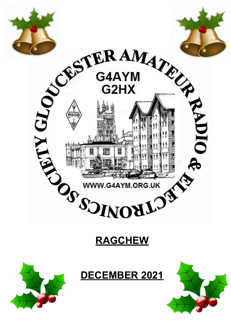





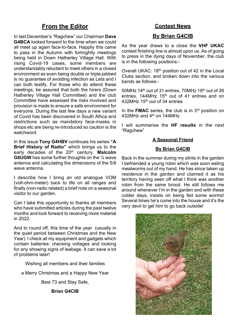# **From the Editor**

In last December's "Ragchew" our Chairman **Dave G4BCA** looked forward to the time when we could all meet up again face-to-face. Happily this came to pass in the Autumn with fortnightly meetings being held in Down Hatherley Village Hall. With rising Covid-19 cases, some members are understandably reluctant to meet others in a closed environment as even being double or triple-jabbed is no guarantee of avoiding infection as Leta and I can both testify. For those who do attend these meetings, be assured that both the hirers (Down Hatherley Village Hall Committee) and the club Committee have assessed the risks involved and provision is made to ensure a safe environment for everyone. During the last few days a new variant of Covid has been discovered in South Africa and restrictions such as mandatory face-masks in shops etc are being re-introduced so caution is the watchword.

In this issue **Tony G4HBV** continues his series **"A Brief History of Radio"** which brings us to the early decades of the 20th century. **Malcolm G6UGW** has some further thoughts on the 1/4 wave antenna and calculating the dimensions of the 5/8 wave antenna.

I describe how I bring an old analogue VOM (volt-ohm-meter) back to life on all ranges and finally (non-radio related) a brief note on a seasonal visitor to our garden.

Can I take this opportunity to thanks all members who have submitted articles during the past twelve months and look forward to receiving more material in 2022.

And to round off, this time of the year (usually in the quiet period between Christmas and the New Year) I check all my equipment and gadgets which contain batteries: checking voltages and looking for any showing signs of leakage. It can save a lot of problems later!

Wishing all members and their families

a Merry Christmas and a Happy New Year

Best 73 and Stay Safe,

**Brian G4CIB**

### **Contest News**

### **By Brian G4CIB**

As the year draws to a close the **VHF UKAC** contest finishing line is almost upon us. As of going to press in the dying days of November, the club is in the following positions:-

Overall UKAC: 18th position out of 42 in the Local Clubs section, and broken down into the various bands as follows:-

50MHz 14<sup>th</sup> out of 31 entries, 70MHz 18<sup>th</sup> out of 26 entries, 144MHz 15<sup>th</sup> out of 41 entries and on 432MHz 15th out of 34 entries

In the **FMAC** series, the club is in 3rd position on 432MHz and 4<sup>th</sup> on 144MHz

I will summarise the **HF results** in the next "Ragchew"

#### **A Seasonal Friend**

#### **By Brian G4CIB**

Back in the summer during my stints in the garden I befriended a young robin which was soon eating mealworms out of my hand. He has since taken up residence in the garden and claimed it as his territory having seen off what I think was another robin from the same brood. He still follows me around whenever I'm in the garden and with these colder days, insists on being fed some worms! Several times he's come into the house and it's the very devil to get him to go back outside!

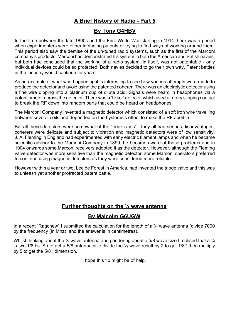# **A Brief History of Radio - Part 5**

### **By Tony G4HBV**

In the time between the late 1890s and the First World War starting in 1914 there was a period when experimenters were either infringing patents or trying to find ways of working around them. This period also saw the demise of the un-tuned radio systems, such as the first of the Marconi company's products. Marconi had demonstrated his system to both the American and British navies, but both had concluded that the working of a radio system, in itself, was not patentable - only individual devices could be so protected. Both navies decided to go their own way. Patent battles in the industry would continue for years.

As an example of what was happening it is interesting to see how various attempts were made to produce the detector and avoid using the patented coherer. There was an electrolytic detector using a fine wire dipping into a platinum cup of dilute acid. Signals were heard in headphones via a potentiometer across the detector. There was a 'tikker' detector which used a rotary slipping contact to break the RF down into random parts that could be heard on headphones.

The Marconi Company invented a magnetic detector which consisted of a soft iron wire travelling between several coils and depended on the hysteresis effect to make the RF audible.

But all these detectors were somewhat of the "freak class" - they all had serious disadvantages; coherers were delicate and subject to vibration and magnetic detectors were of low sensitivity. J. A. Fleming in England had experimented with early electric filament lamps and when he became scientific advisor to the Marconi Company in 1899, he became aware of these problems and in 1904 onwards some Marconi receivers adopted it as the detector. However, although the Fleming valve detector was more sensitive than the magnetic detector, some Marconi operators preferred to continue using magnetic detectors as they were considered more reliable.

However within a year or two, Lee de Forest in America, had invented the triode valve and this was to unleash yet another protracted patent battle.

## **Further thoughts on the ¼ wave antenna**

### **By Malcolm G6UGW**

In a recent "Ragchew" I submitted the calculation for the length of a  $\frac{1}{4}$  wave antenna (divide 7000 by the frequency (in Mhz) and the answer is in centimetres).

Whilst thinking about the  $\frac{1}{4}$  wave antenna and pondering about a 5/8 wave size I realised that a  $\frac{1}{4}$ is two 1/8ths. So to get a 5/8 antenna size divide the  $\frac{1}{4}$  wave result by 2 to get 1/8<sup>th</sup> then multiply by 5 to get the  $5/8<sup>th</sup>$  dimension.

I hope this tip might be of help.